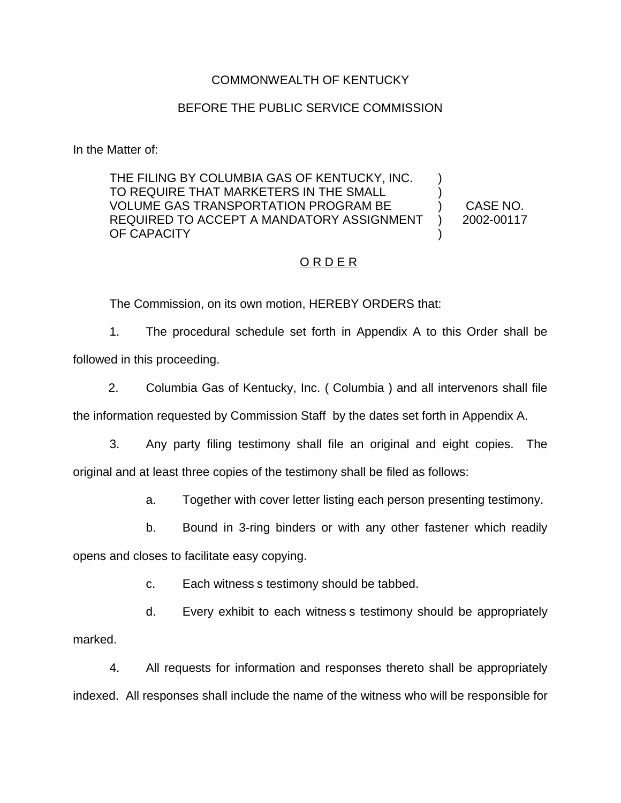#### COMMONWEALTH OF KENTUCKY

#### BEFORE THE PUBLIC SERVICE COMMISSION

In the Matter of:

THE FILING BY COLUMBIA GAS OF KENTUCKY, INC. TO REQUIRE THAT MARKETERS IN THE SMALL ) VOLUME GAS TRANSPORTATION PROGRAM BE ) CASE NO. REQUIRED TO ACCEPT A MANDATORY ASSIGNMENT ) 2002-00117 OF CAPACITY

### ORDER

The Commission, on its own motion, HEREBY ORDERS that:

1. The procedural schedule set forth in Appendix A to this Order shall be followed in this proceeding.

2. Columbia Gas of Kentucky, Inc. ( Columbia ) and all intervenors shall file the information requested by Commission Staff by the dates set forth in Appendix A.

3. Any party filing testimony shall file an original and eight copies. The original and at least three copies of the testimony shall be filed as follows:

a. Together with cover letter listing each person presenting testimony.

b. Bound in 3-ring binders or with any other fastener which readily

opens and closes to facilitate easy copying.

c. Each witness s testimony should be tabbed.

d. Every exhibit to each witness s testimony should be appropriately marked.

4. All requests for information and responses thereto shall be appropriately indexed. All responses shall include the name of the witness who will be responsible for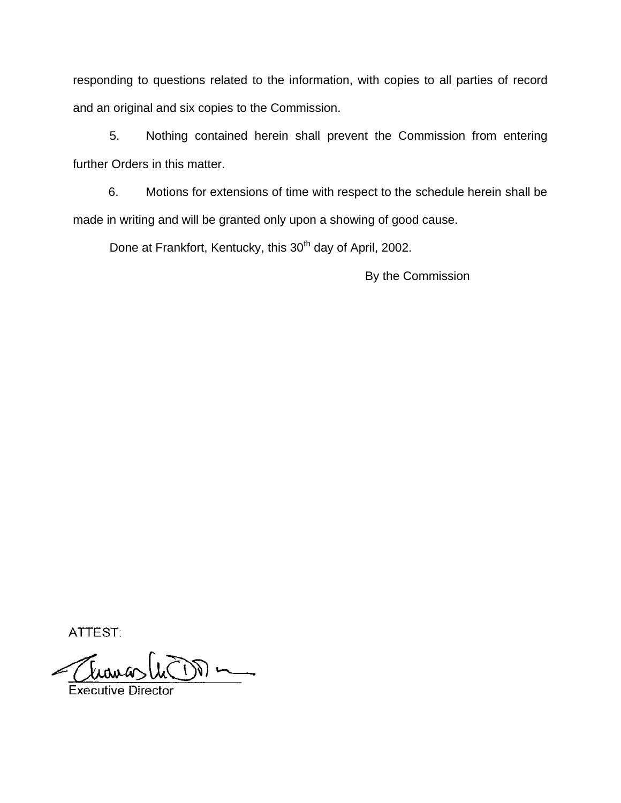responding to questions related to the information, with copies to all parties of record and an original and six copies to the Commission.

5. Nothing contained herein shall prevent the Commission from entering further Orders in this matter.

6. Motions for extensions of time with respect to the schedule herein shall be made in writing and will be granted only upon a showing of good cause.

Done at Frankfort, Kentucky, this 30<sup>th</sup> day of April, 2002.

By the Commission

ATTEST:

Executive D